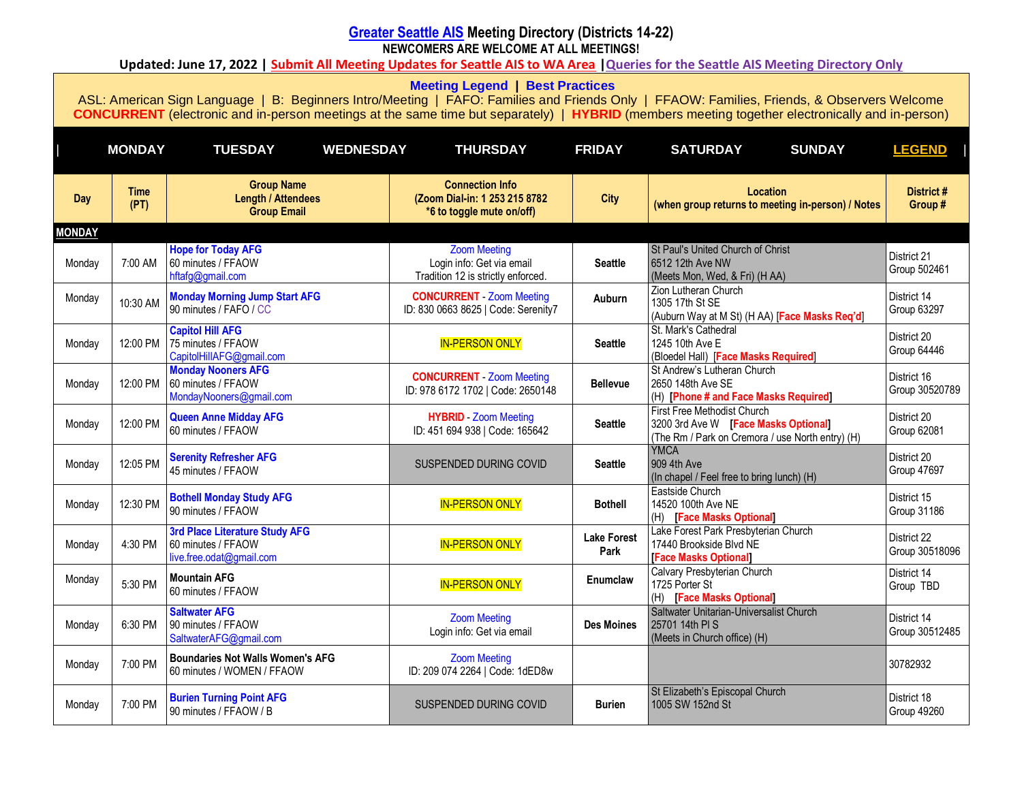# **[Greater Seattle AIS](http://www.seattle-al-anon.org/) Meeting Directory (Districts 14-22)**

**NEWCOMERS ARE WELCOME AT ALL MEETINGS!**

**Updated: June 17, 2022 | [Submit All Meeting Updates for Seattle AIS to WA Area](https://wa-al-anon.org/meeting-changes/) [|Queries for the Seattle AIS Meeting Directory Only](mailto:meetingdirectoryeditor@seattle-al-anon.org)**

**[Meeting Legend](https://www.seattle-al-anon.org/meetings.html) | [Best Practices](https://www.seattle-al-anon.org/meetings.html)**

<span id="page-0-1"></span><span id="page-0-0"></span>

|               | <b>MONDAY</b>       | <b>TUESDAY</b><br><b>WEDNESDAY</b>                                               | <b>THURSDAY</b>                                                                        | <b>FRIDAY</b>              | <b>SUNDAY</b><br><b>SATURDAY</b>                                                                                        | <b>LEGEND</b>                     |
|---------------|---------------------|----------------------------------------------------------------------------------|----------------------------------------------------------------------------------------|----------------------------|-------------------------------------------------------------------------------------------------------------------------|-----------------------------------|
| <b>Day</b>    | <b>Time</b><br>(PT) | <b>Group Name</b><br><b>Length / Attendees</b><br><b>Group Email</b>             | <b>Connection Info</b><br>(Zoom Dial-in: 1 253 215 8782<br>*6 to toggle mute on/off)   | <b>City</b>                | Location<br>(when group returns to meeting in-person) / Notes                                                           | District #<br>Group#              |
| <b>MONDAY</b> |                     |                                                                                  |                                                                                        |                            |                                                                                                                         |                                   |
| Monday        | 7:00 AM             | <b>Hope for Today AFG</b><br>60 minutes / FFAOW<br>hftafg@gmail.com              | <b>Zoom Meeting</b><br>Login info: Get via email<br>Tradition 12 is strictly enforced. | <b>Seattle</b>             | St Paul's United Church of Christ<br>6512 12th Ave NW<br>(Meets Mon, Wed, & Fri) (H AA)                                 | District 21<br>Group 502461       |
| Monday        | 10:30 AM            | <b>Monday Morning Jump Start AFG</b><br>90 minutes / FAFO / CC                   | <b>CONCURRENT</b> - Zoom Meeting<br>ID: 830 0663 8625   Code: Serenity7                | Auburn                     | Zion Lutheran Church<br>1305 17th St SE<br>(Auburn Way at M St) (H AA) [Face Masks Req'd]                               | District 14<br>Group 63297        |
| Monday        | 12:00 PM            | <b>Capitol Hill AFG</b><br>75 minutes / FFAOW<br>CapitolHillAFG@gmail.com        | <b>IN-PERSON ONLY</b>                                                                  | <b>Seattle</b>             | St. Mark's Cathedral<br>1245 10th Ave E<br>(Bloedel Hall) [Face Masks Required]                                         | District 20<br>Group 64446        |
| Monday        | 12:00 PM            | <b>Monday Nooners AFG</b><br>60 minutes / FFAOW<br>MondayNooners@gmail.com       | <b>CONCURRENT</b> - Zoom Meeting<br>ID: 978 6172 1702   Code: 2650148                  | <b>Bellevue</b>            | St Andrew's Lutheran Church<br>2650 148th Ave SE<br>(H) [Phone # and Face Masks Required]                               | District 16<br>Group 30520789     |
| Monday        | 12:00 PM            | <b>Queen Anne Midday AFG</b><br>60 minutes / FFAOW                               | <b>HYBRID</b> - Zoom Meeting<br>ID: 451 694 938   Code: 165642                         | <b>Seattle</b>             | First Free Methodist Church<br>3200 3rd Ave W [Face Masks Optional]<br>(The Rm / Park on Cremora / use North entry) (H) | District 20<br>Group 62081        |
| Monday        | 12:05 PM            | <b>Serenity Refresher AFG</b><br>45 minutes / FFAOW                              | SUSPENDED DURING COVID                                                                 | <b>Seattle</b>             | <b>YMCA</b><br>909 4th Ave<br>(In chapel / Feel free to bring lunch) (H)                                                | District 20<br><b>Group 47697</b> |
| Monday        | 12:30 PM            | <b>Bothell Monday Study AFG</b><br>90 minutes / FFAOW                            | <b>IN-PERSON ONLY</b>                                                                  | <b>Bothell</b>             | Eastside Church<br>14520 100th Ave NE<br>(H) [Face Masks Optional]                                                      | District 15<br>Group 31186        |
| Monday        | 4:30 PM             | 3rd Place Literature Study AFG<br>60 minutes / FFAOW<br>live.free.odat@gmail.com | <b>IN-PERSON ONLY</b>                                                                  | <b>Lake Forest</b><br>Park | Lake Forest Park Presbyterian Church<br>17440 Brookside Blvd NE<br>[Face Masks Optional]                                | District 22<br>Group 30518096     |
| Monday        | 5:30 PM             | <b>Mountain AFG</b><br>60 minutes / FFAOW                                        | <b>IN-PERSON ONLY</b>                                                                  | Enumclaw                   | Calvary Presbyterian Church<br>1725 Porter St<br>(H) [Face Masks Optional]                                              | District 14<br>Group TBD          |
| Monday        | 6:30 PM             | <b>Saltwater AFG</b><br>90 minutes / FFAOW<br>SaltwaterAFG@gmail.com             | <b>Zoom Meeting</b><br>Login info: Get via email                                       | <b>Des Moines</b>          | Saltwater Unitarian-Universalist Church<br>25701 14th PIS<br>(Meets in Church office) (H)                               | District 14<br>Group 30512485     |
| Monday        | 7:00 PM             | <b>Boundaries Not Walls Women's AFG</b><br>60 minutes / WOMEN / FFAOW            | <b>Zoom Meeting</b><br>ID: 209 074 2264   Code: 1dED8w                                 |                            |                                                                                                                         | 30782932                          |
| Monday        | 7:00 PM             | <b>Burien Turning Point AFG</b><br>90 minutes / FFAOW / B                        | SUSPENDED DURING COVID                                                                 | <b>Burien</b>              | St Elizabeth's Episcopal Church<br>1005 SW 152nd St                                                                     | District 18<br><b>Group 49260</b> |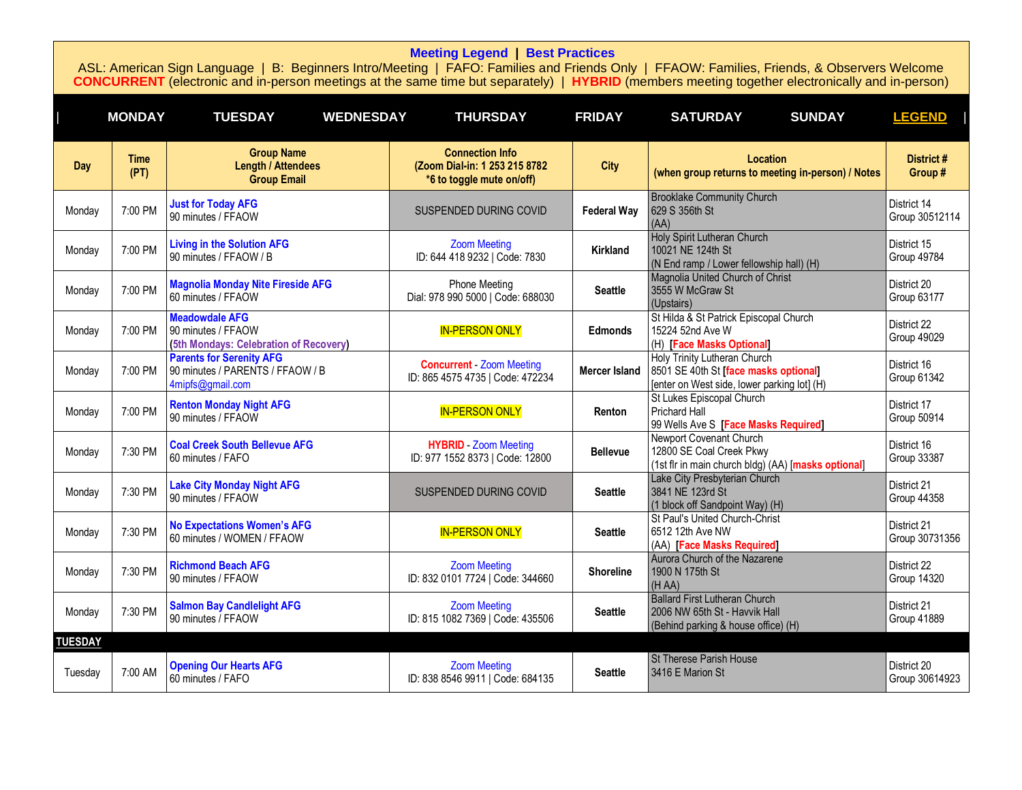<span id="page-1-0"></span>

|                | <b>MONDAY</b>       | <b>TUESDAY</b><br><b>WEDNESDAY</b>                                                      | <b>THURSDAY</b>                                                                      | <b>FRIDAY</b>        | <b>SUNDAY</b><br><b>SATURDAY</b>                                                                                     | <b>LEGEND</b>                     |
|----------------|---------------------|-----------------------------------------------------------------------------------------|--------------------------------------------------------------------------------------|----------------------|----------------------------------------------------------------------------------------------------------------------|-----------------------------------|
| Day            | <b>Time</b><br>(PT) | <b>Group Name</b><br><b>Length / Attendees</b><br><b>Group Email</b>                    | <b>Connection Info</b><br>(Zoom Dial-in: 1 253 215 8782<br>*6 to toggle mute on/off) | <b>City</b>          | <b>Location</b><br>(when group returns to meeting in-person) / Notes                                                 | District#<br>Group #              |
| Monday         | 7:00 PM             | <b>Just for Today AFG</b><br>90 minutes / FFAOW                                         | SUSPENDED DURING COVID                                                               | <b>Federal Way</b>   | <b>Brooklake Community Church</b><br>629 S 356th St<br>(AA)                                                          | District 14<br>Group 30512114     |
| Monday         | 7:00 PM             | <b>Living in the Solution AFG</b><br>90 minutes / FFAOW / B                             | <b>Zoom Meeting</b><br>ID: 644 418 9232   Code: 7830                                 | Kirkland             | Holy Spirit Lutheran Church<br>10021 NE 124th St<br>(N End ramp / Lower fellowship hall) (H)                         | District 15<br><b>Group 49784</b> |
| Monday         | 7:00 PM             | <b>Magnolia Monday Nite Fireside AFG</b><br>60 minutes / FFAOW                          | <b>Phone Meeting</b><br>Dial: 978 990 5000   Code: 688030                            | <b>Seattle</b>       | Magnolia United Church of Christ<br>3555 W McGraw St<br>(Upstairs)                                                   | District 20<br>Group 63177        |
| Monday         | 7:00 PM             | <b>Meadowdale AFG</b><br>90 minutes / FFAOW<br>(5th Mondays: Celebration of Recovery)   | <b>IN-PERSON ONLY</b>                                                                | <b>Edmonds</b>       | St Hilda & St Patrick Episcopal Church<br>15224 52nd Ave W<br>(H) [Face Masks Optional]                              | District 22<br><b>Group 49029</b> |
| Monday         | 7:00 PM             | <b>Parents for Serenity AFG</b><br>90 minutes / PARENTS / FFAOW / B<br>4mipfs@gmail.com | <b>Concurrent - Zoom Meeting</b><br>ID: 865 4575 4735   Code: 472234                 | <b>Mercer Island</b> | Holy Trinity Lutheran Church<br>8501 SE 40th St [face masks optional]<br>[enter on West side, lower parking lot] (H) | District 16<br>Group 61342        |
| Monday         | 7:00 PM             | <b>Renton Monday Night AFG</b><br>90 minutes / FFAOW                                    | <b>IN-PERSON ONLY</b>                                                                | Renton               | St Lukes Episcopal Church<br>Prichard Hall<br>99 Wells Ave S [Face Masks Required]                                   | District 17<br>Group 50914        |
| Monday         | 7:30 PM             | <b>Coal Creek South Bellevue AFG</b><br>60 minutes / FAFO                               | <b>HYBRID</b> Zoom Meeting<br>ID: 977 1552 8373   Code: 12800                        | <b>Bellevue</b>      | Newport Covenant Church<br>12800 SE Coal Creek Pkwy<br>(1st fir in main church bldg) (AA) [masks optional]           | District 16<br>Group 33387        |
| Monday         | 7:30 PM             | <b>Lake City Monday Night AFG</b><br>90 minutes / FFAOW                                 | SUSPENDED DURING COVID                                                               | <b>Seattle</b>       | Lake City Presbyterian Church<br>3841 NE 123rd St<br>(1 block off Sandpoint Way) (H)                                 | District 21<br>Group 44358        |
| Monday         | 7:30 PM             | <b>No Expectations Women's AFG</b><br>60 minutes / WOMEN / FFAOW                        | <b>IN-PERSON ONLY</b>                                                                | <b>Seattle</b>       | St Paul's United Church-Christ<br>6512 12th Ave NW<br>(AA) [Face Masks Required]                                     | District 21<br>Group 30731356     |
| Monday         | 7:30 PM             | <b>Richmond Beach AFG</b><br>90 minutes / FFAOW                                         | <b>Zoom Meeting</b><br>ID: 832 0101 7724   Code: 344660                              | <b>Shoreline</b>     | Aurora Church of the Nazarene<br>1900 N 175th St<br>(H AA)                                                           | District 22<br><b>Group 14320</b> |
| Monday         | 7:30 PM             | <b>Salmon Bay Candlelight AFG</b><br>90 minutes / FFAOW                                 | <b>Zoom Meeting</b><br>ID: 815 1082 7369   Code: 435506                              | <b>Seattle</b>       | <b>Ballard First Lutheran Church</b><br>2006 NW 65th St - Havvik Hall<br>(Behind parking & house office) (H)         | District 21<br><b>Group 41889</b> |
| <b>TUESDAY</b> |                     |                                                                                         |                                                                                      |                      |                                                                                                                      |                                   |
| Tuesday        | 7:00 AM             | <b>Opening Our Hearts AFG</b><br>60 minutes / FAFO                                      | <b>Zoom Meeting</b><br>ID: 838 8546 9911   Code: 684135                              | <b>Seattle</b>       | <b>St Therese Parish House</b><br>3416 E Marion St                                                                   | District 20<br>Group 30614923     |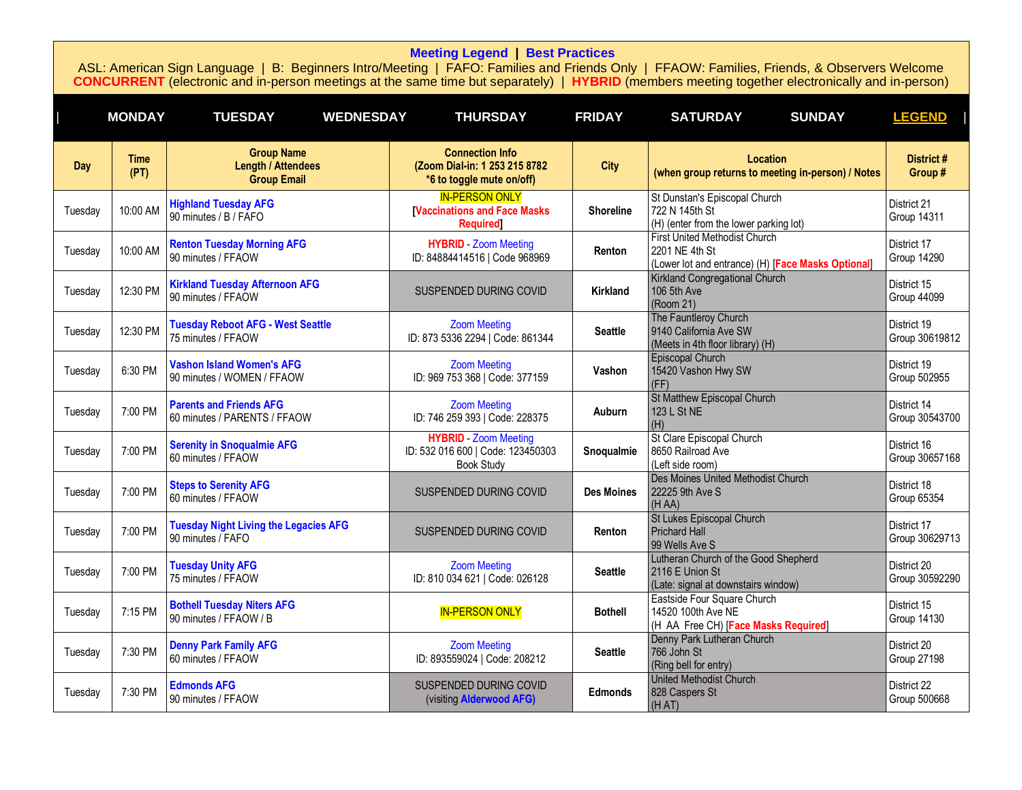|            | <b>MONDAY</b>       | <b>TUESDAY</b><br><b>WEDNESDAY</b>                                   | <b>THURSDAY</b>                                                                        | <b>FRIDAY</b>     | <b>SUNDAY</b><br><b>SATURDAY</b>                                                                      | <b>LEGEND</b>                     |
|------------|---------------------|----------------------------------------------------------------------|----------------------------------------------------------------------------------------|-------------------|-------------------------------------------------------------------------------------------------------|-----------------------------------|
| <b>Day</b> | <b>Time</b><br>(PT) | <b>Group Name</b><br><b>Length / Attendees</b><br><b>Group Email</b> | <b>Connection Info</b><br>(Zoom Dial-in: 1 253 215 8782<br>*6 to toggle mute on/off)   | <b>City</b>       | <b>Location</b><br>(when group returns to meeting in-person) / Notes                                  | District #<br>Group #             |
| Tuesday    | 10:00 AM            | <b>Highland Tuesday AFG</b><br>90 minutes / B / FAFO                 | <b>IN-PERSON ONLY</b><br><b>[Vaccinations and Face Masks</b><br><b>Required</b> ]      | <b>Shoreline</b>  | St Dunstan's Episcopal Church<br>722 N 145th St<br>(H) (enter from the lower parking lot)             | District 21<br>Group 14311        |
| Tuesday    | 10:00 AM            | <b>Renton Tuesday Morning AFG</b><br>90 minutes / FFAOW              | <b>HYBRID</b> Zoom Meeting<br>ID: 84884414516   Code 968969                            | Renton            | First United Methodist Church<br>2201 NE 4th St<br>(Lower lot and entrance) (H) [Face Masks Optional] | District 17<br><b>Group 14290</b> |
| Tuesday    | 12:30 PM            | <b>Kirkland Tuesday Afternoon AFG</b><br>90 minutes / FFAOW          | SUSPENDED DURING COVID                                                                 | Kirkland          | Kirkland Congregational Church<br>106 5th Ave<br>(Room 21)                                            | District 15<br><b>Group 44099</b> |
| Tuesday    | 12:30 PM            | <b>Tuesday Reboot AFG - West Seattle</b><br>75 minutes / FFAOW       | <b>Zoom Meeting</b><br>ID: 873 5336 2294   Code: 861344                                | <b>Seattle</b>    | The Fauntleroy Church<br>9140 California Ave SW<br>(Meets in 4th floor library) (H)                   | District 19<br>Group 30619812     |
| Tuesday    | 6:30 PM             | <b>Vashon Island Women's AFG</b><br>90 minutes / WOMEN / FFAOW       | <b>Zoom Meeting</b><br>ID: 969 753 368   Code: 377159                                  | Vashon            | Episcopal Church<br>15420 Vashon Hwy SW<br>(FF)                                                       | District 19<br>Group 502955       |
| Tuesday    | 7:00 PM             | <b>Parents and Friends AFG</b><br>60 minutes / PARENTS / FFAOW       | <b>Zoom Meeting</b><br>ID: 746 259 393   Code: 228375                                  | Auburn            | <b>St Matthew Episcopal Church</b><br>123 L St NE<br>(H)                                              | District 14<br>Group 30543700     |
| Tuesday    | 7:00 PM             | <b>Serenity in Snoqualmie AFG</b><br>60 minutes / FFAOW              | <b>HYBRID</b> - Zoom Meeting<br>ID: 532 016 600   Code: 123450303<br><b>Book Study</b> | Snoqualmie        | St Clare Episcopal Church<br>8650 Railroad Ave<br>(Left side room)                                    | District 16<br>Group 30657168     |
| Tuesday    | 7:00 PM             | <b>Steps to Serenity AFG</b><br>60 minutes / FFAOW                   | SUSPENDED DURING COVID                                                                 | <b>Des Moines</b> | Des Moines United Methodist Church<br>22225 9th Ave S<br>(H AA)                                       | District 18<br>Group 65354        |
| Tuesday    | 7:00 PM             | <b>Tuesday Night Living the Legacies AFG</b><br>90 minutes / FAFO    | SUSPENDED DURING COVID                                                                 | Renton            | St Lukes Episcopal Church<br><b>Prichard Hall</b><br>99 Wells Ave S                                   | District 17<br>Group 30629713     |
| Tuesday    | 7:00 PM             | <b>Tuesday Unity AFG</b><br>75 minutes / FFAOW                       | <b>Zoom Meeting</b><br>ID: 810 034 621   Code: 026128                                  | <b>Seattle</b>    | Lutheran Church of the Good Shepherd<br>2116 E Union St<br>(Late: signal at downstairs window)        | District 20<br>Group 30592290     |
| Tuesday    | 7:15 PM             | <b>Bothell Tuesday Niters AFG</b><br>90 minutes / FFAOW / B          | <b>IN-PERSON ONLY</b>                                                                  | <b>Bothell</b>    | Eastside Four Square Church<br>14520 100th Ave NE<br>(H AA Free CH) [Face Masks Required]             | District 15<br>Group 14130        |
| Tuesday    | 7:30 PM             | <b>Denny Park Family AFG</b><br>60 minutes / FFAOW                   | <b>Zoom Meeting</b><br>ID: 893559024   Code: 208212                                    | <b>Seattle</b>    | Denny Park Lutheran Church<br>766 John St<br>(Ring bell for entry)                                    | District 20<br><b>Group 27198</b> |
| Tuesday    | 7:30 PM             | <b>Edmonds AFG</b><br>90 minutes / FFAOW                             | SUSPENDED DURING COVID<br>(visiting Alderwood AFG)                                     | <b>Edmonds</b>    | United Methodist Church<br>828 Caspers St<br>(HAT)                                                    | District 22<br>Group 500668       |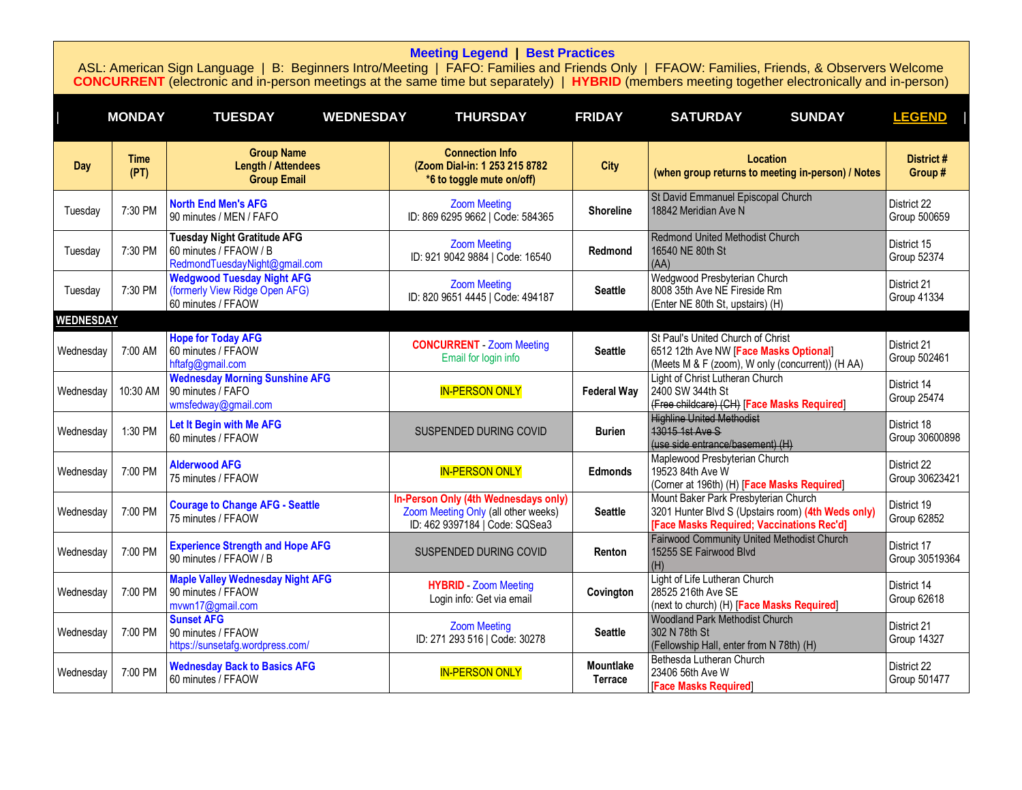<span id="page-3-0"></span>

|                  | <b>MONDAY</b>       | <b>TUESDAY</b><br><b>WEDNESDAY</b>                                                            | <b>THURSDAY</b>                                                                                               | <b>FRIDAY</b>                      | <b>SUNDAY</b><br><b>SATURDAY</b>                                                                                                        | <b>LEGEND</b>                     |
|------------------|---------------------|-----------------------------------------------------------------------------------------------|---------------------------------------------------------------------------------------------------------------|------------------------------------|-----------------------------------------------------------------------------------------------------------------------------------------|-----------------------------------|
| Day              | <b>Time</b><br>(PT) | <b>Group Name</b><br><b>Length / Attendees</b><br><b>Group Email</b>                          | <b>Connection Info</b><br>(Zoom Dial-in: 1 253 215 8782<br>*6 to toggle mute on/off)                          | <b>City</b>                        | Location<br>(when group returns to meeting in-person) / Notes                                                                           | District#<br>Group#               |
| Tuesday          | 7:30 PM             | <b>North End Men's AFG</b><br>90 minutes / MEN / FAFO                                         | <b>Zoom Meeting</b><br>ID: 869 6295 9662   Code: 584365                                                       | <b>Shoreline</b>                   | St David Emmanuel Episcopal Church<br>18842 Meridian Ave N                                                                              | District 22<br>Group 500659       |
| Tuesday          | 7:30 PM             | <b>Tuesday Night Gratitude AFG</b><br>60 minutes / FFAOW / B<br>RedmondTuesdayNight@gmail.com | <b>Zoom Meeting</b><br>ID: 921 9042 9884   Code: 16540                                                        | Redmond                            | <b>Redmond United Methodist Church</b><br>16540 NE 80th St<br>(AA)                                                                      | District 15<br>Group 52374        |
| Tuesday          | 7:30 PM             | <b>Wedgwood Tuesday Night AFG</b><br>(formerly View Ridge Open AFG)<br>60 minutes / FFAOW     | <b>Zoom Meeting</b><br>ID: 820 9651 4445   Code: 494187                                                       | <b>Seattle</b>                     | Wedgwood Presbyterian Church<br>8008 35th Ave NE Fireside Rm<br>(Enter NE 80th St, upstairs) (H)                                        | District 21<br>Group 41334        |
| <b>WEDNESDAY</b> |                     |                                                                                               |                                                                                                               |                                    |                                                                                                                                         |                                   |
| Wednesday        | 7:00 AM             | <b>Hope for Today AFG</b><br>60 minutes / FFAOW<br>hftafg@gmail.com                           | <b>CONCURRENT</b> - Zoom Meeting<br>Email for login info                                                      | <b>Seattle</b>                     | St Paul's United Church of Christ<br>6512 12th Ave NW [Face Masks Optional]<br>(Meets M & F (zoom), W only (concurrent)) (H AA)         | District 21<br>Group 502461       |
| Wednesdav        | 10:30 AM            | <b>Wednesday Morning Sunshine AFG</b><br>90 minutes / FAFO<br>wmsfedway@gmail.com             | <b>IN-PERSON ONLY</b>                                                                                         | <b>Federal Way</b>                 | Light of Christ Lutheran Church<br>2400 SW 344th St<br>(Free childcare) (CH) [Face Masks Required]                                      | District 14<br>Group 25474        |
| Wednesday        | 1:30 PM             | Let It Begin with Me AFG<br>60 minutes / FFAOW                                                | SUSPENDED DURING COVID                                                                                        | <b>Burien</b>                      | <b>Highline United Methodist</b><br>13015 1st Ave S<br>(use side entrance/basement) (H)                                                 | District 18<br>Group 30600898     |
| Wednesday        | 7:00 PM             | <b>Alderwood AFG</b><br>75 minutes / FFAOW                                                    | <b>IN-PERSON ONLY</b>                                                                                         | <b>Edmonds</b>                     | Maplewood Presbyterian Church<br>19523 84th Ave W<br>(Corner at 196th) (H) [Face Masks Required]                                        | District 22<br>Group 30623421     |
| Wednesday        | 7:00 PM             | <b>Courage to Change AFG - Seattle</b><br>75 minutes / FFAOW                                  | In-Person Only (4th Wednesdays only)<br>Zoom Meeting Only (all other weeks)<br>ID: 462 9397184   Code: SQSea3 | <b>Seattle</b>                     | Mount Baker Park Presbyterian Church<br>3201 Hunter Blvd S (Upstairs room) (4th Weds only)<br>[Face Masks Required; Vaccinations Rec'd] | District 19<br>Group 62852        |
| Wednesday        | 7:00 PM             | <b>Experience Strength and Hope AFG</b><br>90 minutes / FFAOW / B                             | SUSPENDED DURING COVID                                                                                        | Renton                             | Fairwood Community United Methodist Church<br>15255 SE Fairwood Blvd<br>(H)                                                             | District 17<br>Group 30519364     |
| Wednesdav        | 7:00 PM             | <b>Maple Valley Wednesday Night AFG</b><br>90 minutes / FFAOW<br>mvwn17@gmail.com             | <b>HYBRID</b> - Zoom Meeting<br>Login info: Get via email                                                     | Covington                          | Light of Life Lutheran Church<br>28525 216th Ave SE<br>(next to church) (H) [Face Masks Required]                                       | District 14<br>Group 62618        |
| Wednesday        | 7:00 PM             | <b>Sunset AFG</b><br>90 minutes / FFAOW<br>https://sunsetafg.wordpress.com/                   | <b>Zoom Meeting</b><br>ID: 271 293 516   Code: 30278                                                          | <b>Seattle</b>                     | <b>Woodland Park Methodist Church</b><br>302 N 78th St<br>(Fellowship Hall, enter from N 78th) (H)                                      | District 21<br><b>Group 14327</b> |
| Wednesday        | 7:00 PM             | <b>Wednesday Back to Basics AFG</b><br>60 minutes / FFAOW                                     | <b>IN-PERSON ONLY</b>                                                                                         | <b>Mountlake</b><br><b>Terrace</b> | Bethesda Lutheran Church<br>23406 56th Ave W<br><b>[Face Masks Required]</b>                                                            | District 22<br>Group 501477       |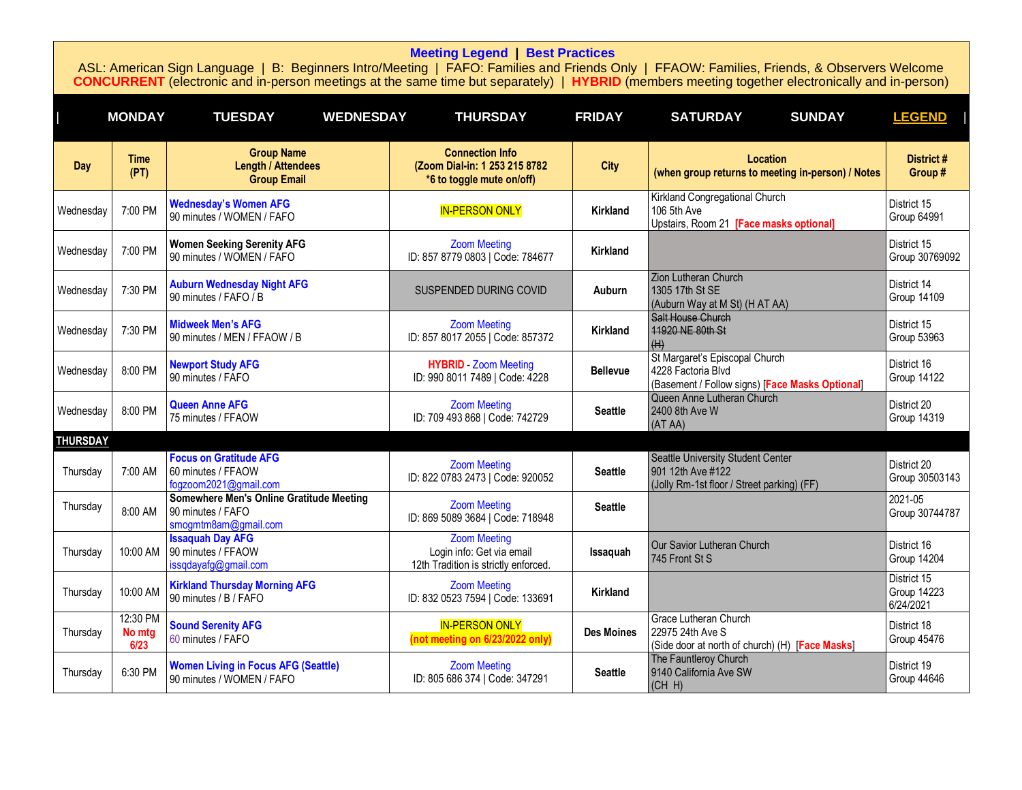<span id="page-4-0"></span>

|                 | <b>MONDAY</b>              | <b>TUESDAY</b><br><b>WEDNESDAY</b>                                                    | <b>THURSDAY</b>                                                                          | <b>FRIDAY</b>     | <b>SUNDAY</b><br><b>SATURDAY</b>                                                                        | <b>LEGEND</b>                                  |
|-----------------|----------------------------|---------------------------------------------------------------------------------------|------------------------------------------------------------------------------------------|-------------------|---------------------------------------------------------------------------------------------------------|------------------------------------------------|
| Day             | <b>Time</b><br>(PT)        | <b>Group Name</b><br><b>Length / Attendees</b><br><b>Group Email</b>                  | <b>Connection Info</b><br>(Zoom Dial-in: 1 253 215 8782<br>*6 to toggle mute on/off)     | <b>City</b>       | Location<br>(when group returns to meeting in-person) / Notes                                           | District #<br>Group#                           |
| Wednesday       | 7:00 PM                    | <b>Wednesday's Women AFG</b><br>90 minutes / WOMEN / FAFO                             | <b>IN-PERSON ONLY</b>                                                                    | <b>Kirkland</b>   | Kirkland Congregational Church<br>106 5th Ave<br>Upstairs, Room 21 [Face masks optional]                | District 15<br>Group 64991                     |
| Wednesdav       | 7:00 PM                    | <b>Women Seeking Serenity AFG</b><br>90 minutes / WOMEN / FAFO                        | <b>Zoom Meeting</b><br>ID: 857 8779 0803   Code: 784677                                  | Kirkland          |                                                                                                         | District 15<br>Group 30769092                  |
| Wednesday       | 7:30 PM                    | <b>Auburn Wednesday Night AFG</b><br>90 minutes / FAFO / B                            | SUSPENDED DURING COVID                                                                   | Auburn            | Zion Lutheran Church<br>1305 17th St SE<br>(Auburn Way at M St) (H AT AA)                               | District 14<br><b>Group 14109</b>              |
| Wednesday       | 7:30 PM                    | <b>Midweek Men's AFG</b><br>90 minutes / MEN / FFAOW / B                              | <b>Zoom Meeting</b><br>ID: 857 8017 2055   Code: 857372                                  | <b>Kirkland</b>   | Salt House Church<br>11920 NE 80th St<br>(H)                                                            | District 15<br>Group 53963                     |
| Wednesday       | 8:00 PM                    | <b>Newport Study AFG</b><br>90 minutes / FAFO                                         | <b>HYBRID</b> Zoom Meeting<br>ID: 990 8011 7489   Code: 4228                             | <b>Bellevue</b>   | St Margaret's Episcopal Church<br>4228 Factoria Blvd<br>(Basement / Follow signs) [Face Masks Optional] | District 16<br><b>Group 14122</b>              |
| Wednesday       | 8:00 PM                    | <b>Queen Anne AFG</b><br>75 minutes / FFAOW                                           | <b>Zoom Meeting</b><br>ID: 709 493 868   Code: 742729                                    | <b>Seattle</b>    | Queen Anne Lutheran Church<br>2400 8th Ave W<br>(AT AA)                                                 | District 20<br>Group 14319                     |
| <b>THURSDAY</b> |                            |                                                                                       |                                                                                          |                   |                                                                                                         |                                                |
| Thursday        | 7:00 AM                    | <b>Focus on Gratitude AFG</b><br>60 minutes / FFAOW<br>fogzoom2021@gmail.com          | <b>Zoom Meeting</b><br>ID: 822 0783 2473   Code: 920052                                  | <b>Seattle</b>    | Seattle University Student Center<br>901 12th Ave #122<br>(Jolly Rm-1st floor / Street parking) (FF)    | District 20<br>Group 30503143                  |
| Thursday        | 8:00 AM                    | Somewhere Men's Online Gratitude Meeting<br>90 minutes / FAFO<br>smogmtm8am@gmail.com | <b>Zoom Meeting</b><br>ID: 869 5089 3684   Code: 718948                                  | <b>Seattle</b>    |                                                                                                         | 2021-05<br>Group 30744787                      |
| Thursday        | 10:00 AM                   | <b>Issaquah Day AFG</b><br>90 minutes / FFAOW<br>issqdayafg@gmail.com                 | <b>Zoom Meeting</b><br>Login info: Get via email<br>12th Tradition is strictly enforced. | Issaquah          | Our Savior Lutheran Church<br>745 Front St S                                                            | District 16<br><b>Group 14204</b>              |
| Thursday        | 10:00 AM                   | <b>Kirkland Thursday Morning AFG</b><br>90 minutes / B / FAFO                         | <b>Zoom Meeting</b><br>ID: 832 0523 7594   Code: 133691                                  | <b>Kirkland</b>   |                                                                                                         | District 15<br><b>Group 14223</b><br>6/24/2021 |
| Thursday        | 12:30 PM<br>No mtg<br>6/23 | <b>Sound Serenity AFG</b><br>60 minutes / FAFO                                        | <b>IN-PERSON ONLY</b><br>(not meeting on 6/23/2022 only)                                 | <b>Des Moines</b> | Grace Lutheran Church<br>22975 24th Ave S<br>(Side door at north of church) (H) [Face Masks]            | District 18<br>Group 45476                     |
| Thursday        | 6:30 PM                    | <b>Women Living in Focus AFG (Seattle)</b><br>90 minutes / WOMEN / FAFO               | <b>Zoom Meeting</b><br>ID: 805 686 374   Code: 347291                                    | <b>Seattle</b>    | The Fauntleroy Church<br>9140 California Ave SW<br>(CH H)                                               | District 19<br>Group 44646                     |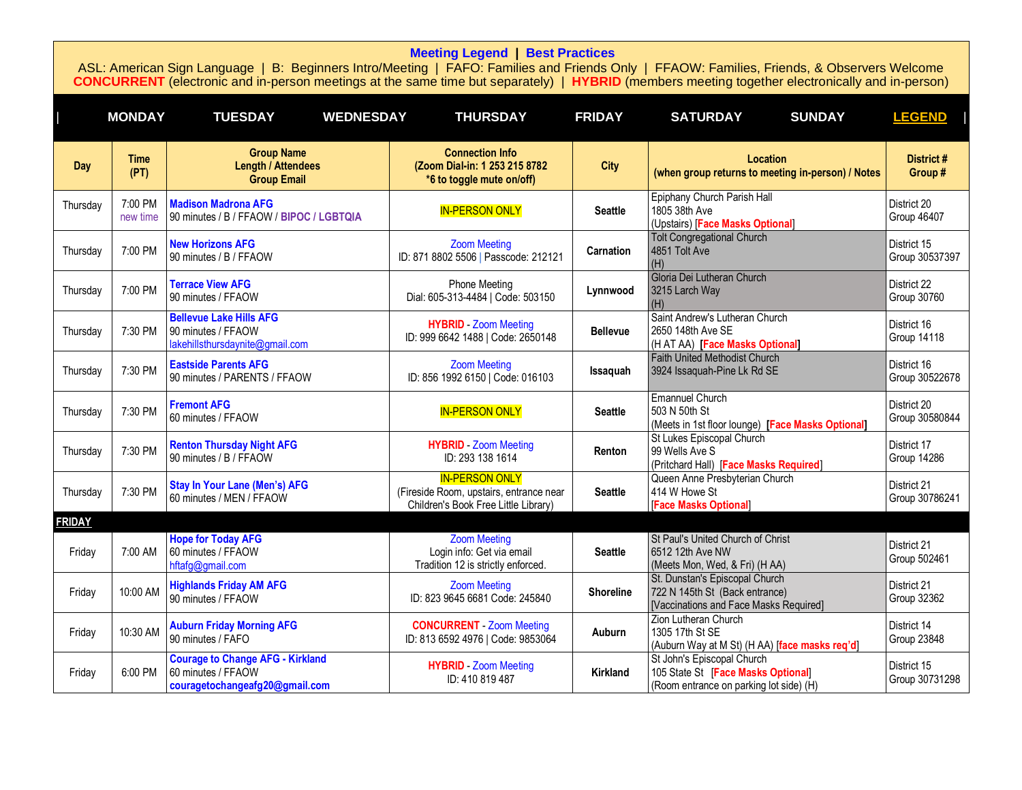<span id="page-5-0"></span>

|               | <b>MONDAY</b>       | <b>TUESDAY</b><br><b>WEDNESDAY</b>                                                              | <b>THURSDAY</b>                                                                                          | <b>FRIDAY</b>    | <b>SUNDAY</b><br><b>SATURDAY</b>                                                                            | <b>LEGEND</b>                     |
|---------------|---------------------|-------------------------------------------------------------------------------------------------|----------------------------------------------------------------------------------------------------------|------------------|-------------------------------------------------------------------------------------------------------------|-----------------------------------|
| Day           | <b>Time</b><br>(PT) | <b>Group Name</b><br><b>Length / Attendees</b><br><b>Group Email</b>                            | <b>Connection Info</b><br>(Zoom Dial-in: 1 253 215 8782<br>*6 to toggle mute on/off)                     | <b>City</b>      | Location<br>(when group returns to meeting in-person) / Notes                                               | District #<br>Group#              |
| Thursday      | 7:00 PM<br>new time | <b>Madison Madrona AFG</b><br>90 minutes / B / FFAOW / BIPOC / LGBTQIA                          | <b>IN-PERSON ONLY</b>                                                                                    | <b>Seattle</b>   | Epiphany Church Parish Hall<br>1805 38th Ave<br>(Upstairs) [Face Masks Optional]                            | District 20<br><b>Group 46407</b> |
| Thursday      | 7:00 PM             | <b>New Horizons AFG</b><br>90 minutes / B / FFAOW                                               | <b>Zoom Meeting</b><br>ID: 871 8802 5506   Passcode: 212121                                              | Carnation        | <b>Tolt Congregational Church</b><br>4851 Tolt Ave<br>(H)                                                   | District 15<br>Group 30537397     |
| Thursday      | 7:00 PM             | <b>Terrace View AFG</b><br>90 minutes / FFAOW                                                   | <b>Phone Meeting</b><br>Dial: 605-313-4484   Code: 503150                                                | Lynnwood         | Gloria Dei Lutheran Church<br>3215 Larch Way<br>(H)                                                         | District 22<br><b>Group 30760</b> |
| Thursday      | 7:30 PM             | <b>Bellevue Lake Hills AFG</b><br>90 minutes / FFAOW<br>lakehillsthursdaynite@gmail.com         | <b>HYBRID</b> - Zoom Meeting<br>ID: 999 6642 1488   Code: 2650148                                        | <b>Bellevue</b>  | Saint Andrew's Lutheran Church<br>2650 148th Ave SE<br>(HATAA) [Face Masks Optional]                        | District 16<br><b>Group 14118</b> |
| Thursday      | 7:30 PM             | <b>Eastside Parents AFG</b><br>90 minutes / PARENTS / FFAOW                                     | <b>Zoom Meeting</b><br>ID: 856 1992 6150   Code: 016103                                                  | Issaquah         | <b>Faith United Methodist Church</b><br>3924 Issaquah-Pine Lk Rd SE                                         | District 16<br>Group 30522678     |
| Thursday      | 7:30 PM             | <b>Fremont AFG</b><br>60 minutes / FFAOW                                                        | <b>IN-PERSON ONLY</b>                                                                                    | <b>Seattle</b>   | <b>Emannuel Church</b><br>503 N 50th St<br>(Meets in 1st floor lounge) [Face Masks Optional]                | District 20<br>Group 30580844     |
| Thursday      | 7:30 PM             | <b>Renton Thursday Night AFG</b><br>90 minutes / B / FFAOW                                      | <b>HYBRID</b> - Zoom Meeting<br>ID: 293 138 1614                                                         | Renton           | St Lukes Episcopal Church<br>99 Wells Ave S<br>(Pritchard Hall) [Face Masks Required]                       | District 17<br><b>Group 14286</b> |
| Thursday      | 7:30 PM             | <b>Stay In Your Lane (Men's) AFG</b><br>60 minutes / MEN / FFAOW                                | <b>IN-PERSON ONLY</b><br>(Fireside Room, upstairs, entrance near<br>Children's Book Free Little Library) | <b>Seattle</b>   | Queen Anne Presbyterian Church<br>414 W Howe St<br>[Face Masks Optional]                                    | District 21<br>Group 30786241     |
| <b>FRIDAY</b> |                     |                                                                                                 |                                                                                                          |                  |                                                                                                             |                                   |
| Friday        | 7:00 AM             | <b>Hope for Today AFG</b><br>60 minutes / FFAOW<br>hftafg@gmail.com                             | <b>Zoom Meeting</b><br>Login info: Get via email<br>Tradition 12 is strictly enforced.                   | <b>Seattle</b>   | St Paul's United Church of Christ<br>6512 12th Ave NW<br>(Meets Mon, Wed, & Fri) (H AA)                     | District 21<br>Group 502461       |
| Friday        | 10:00 AM            | <b>Highlands Friday AM AFG</b><br>90 minutes / FFAOW                                            | <b>Zoom Meeting</b><br>ID: 823 9645 6681 Code: 245840                                                    | <b>Shoreline</b> | St. Dunstan's Episcopal Church<br>722 N 145th St (Back entrance)<br>[Vaccinations and Face Masks Required]  | District 21<br>Group 32362        |
| Friday        | 10:30 AM            | <b>Auburn Friday Morning AFG</b><br>90 minutes / FAFO                                           | <b>CONCURRENT</b> Zoom Meeting<br>ID: 813 6592 4976   Code: 9853064                                      | Auburn           | Zion Lutheran Church<br>1305 17th St SE<br>(Auburn Way at M St) (H AA) [face masks req'd]                   | District 14<br><b>Group 23848</b> |
| Friday        | 6:00 PM             | <b>Courage to Change AFG - Kirkland</b><br>60 minutes / FFAOW<br>couragetochangeafg20@gmail.com | <b>HYBRID</b> Zoom Meeting<br>ID: 410 819 487                                                            | Kirkland         | St John's Episcopal Church<br>105 State St [Face Masks Optional]<br>(Room entrance on parking lot side) (H) | District 15<br>Group 30731298     |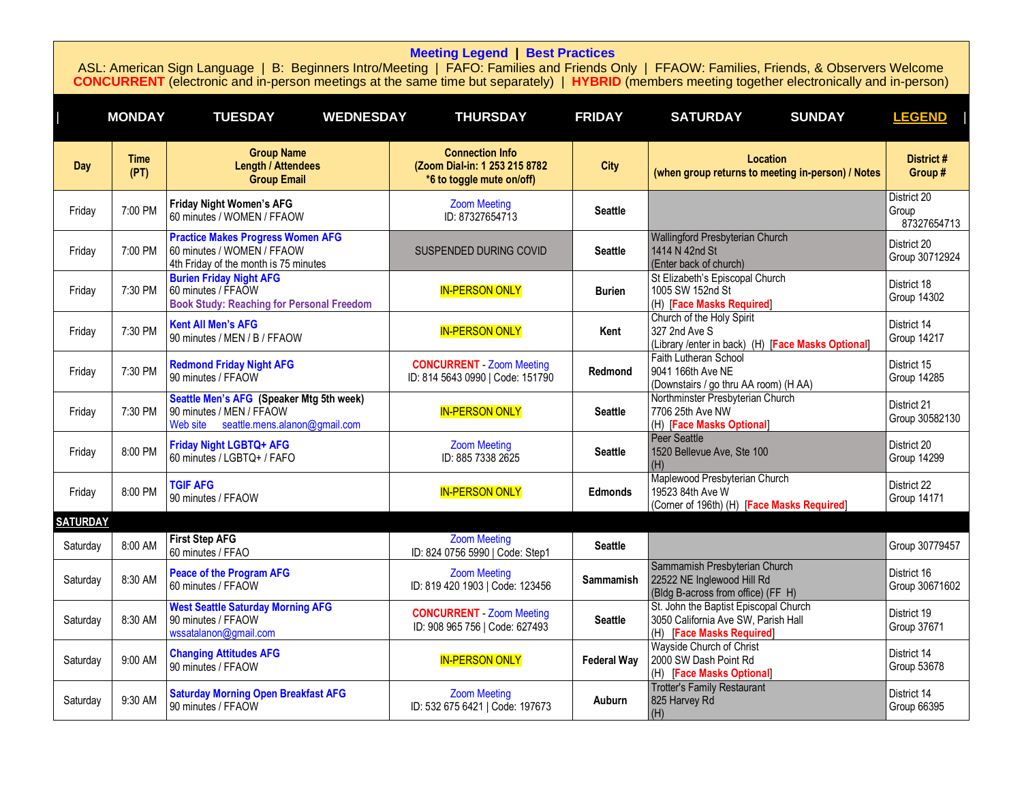<span id="page-6-0"></span>

|                 | <b>MONDAY</b>       | <b>TUESDAY</b><br><b>WEDNESDAY</b>                                                                              | <b>THURSDAY</b>                                                                      | <b>FRIDAY</b>      | <b>SUNDAY</b><br><b>SATURDAY</b>                                                                          | <b>LEGEND</b>                       |
|-----------------|---------------------|-----------------------------------------------------------------------------------------------------------------|--------------------------------------------------------------------------------------|--------------------|-----------------------------------------------------------------------------------------------------------|-------------------------------------|
| Day             | <b>Time</b><br>(PT) | <b>Group Name</b><br><b>Length / Attendees</b><br><b>Group Email</b>                                            | <b>Connection Info</b><br>(Zoom Dial-in: 1 253 215 8782<br>*6 to toggle mute on/off) | <b>City</b>        | Location<br>(when group returns to meeting in-person) / Notes                                             | District #<br>Group #               |
| Friday          | 7:00 PM             | <b>Friday Night Women's AFG</b><br>60 minutes / WOMEN / FFAOW                                                   | <b>Zoom Meeting</b><br>ID: 87327654713                                               | <b>Seattle</b>     |                                                                                                           | District 20<br>Group<br>87327654713 |
| Friday          | 7:00 PM             | <b>Practice Makes Progress Women AFG</b><br>60 minutes / WOMEN / FFAOW<br>4th Friday of the month is 75 minutes | SUSPENDED DURING COVID                                                               | <b>Seattle</b>     | Wallingford Presbyterian Church<br>1414 N 42nd St<br>(Enter back of church)                               | District 20<br>Group 30712924       |
| Friday          | 7:30 PM             | <b>Burien Friday Night AFG</b><br>60 minutes / FFAOW<br><b>Book Study: Reaching for Personal Freedom</b>        | <b>IN-PERSON ONLY</b>                                                                | <b>Burien</b>      | St Elizabeth's Episcopal Church<br>1005 SW 152nd St<br>(H) [Face Masks Required]                          | District 18<br><b>Group 14302</b>   |
| Friday          | 7:30 PM             | <b>Kent All Men's AFG</b><br>90 minutes / MEN / B / FFAOW                                                       | <b>IN-PERSON ONLY</b>                                                                | Kent               | Church of the Holy Spirit<br>327 2nd Ave S<br>(Library /enter in back) (H) [Face Masks Optional]          | District 14<br><b>Group 14217</b>   |
| Friday          | 7:30 PM             | <b>Redmond Friday Night AFG</b><br>90 minutes / FFAOW                                                           | <b>CONCURRENT</b> Zoom Meeting<br>ID: 814 5643 0990   Code: 151790                   | Redmond            | Faith Lutheran School<br>9041 166th Ave NE<br>(Downstairs / go thru AA room) (H AA)                       | District 15<br>Group 14285          |
| Friday          | 7:30 PM             | Seattle Men's AFG (Speaker Mtg 5th week)<br>90 minutes / MEN / FFAOW<br>Web site seattle.mens.alanon@gmail.com  | <b>IN-PERSON ONLY</b>                                                                | <b>Seattle</b>     | Northminster Presbyterian Church<br>7706 25th Ave NW<br>(H) [Face Masks Optional]                         | District 21<br>Group 30582130       |
| Friday          | 8:00 PM             | Friday Night LGBTQ+ AFG<br>60 minutes / LGBTQ+ / FAFO                                                           | <b>Zoom Meeting</b><br>ID: 885 7338 2625                                             | <b>Seattle</b>     | <b>Peer Seattle</b><br>1520 Bellevue Ave, Ste 100<br>(H)                                                  | District 20<br><b>Group 14299</b>   |
| Friday          | 8:00 PM             | <b>TGIF AFG</b><br>90 minutes / FFAOW                                                                           | <b>IN-PERSON ONLY</b>                                                                | <b>Edmonds</b>     | Maplewood Presbyterian Church<br>19523 84th Ave W<br>(Corner of 196th) (H) [Face Masks Required]          | District 22<br><b>Group 14171</b>   |
| <b>SATURDAY</b> |                     |                                                                                                                 |                                                                                      |                    |                                                                                                           |                                     |
| Saturday        | 8:00 AM             | <b>First Step AFG</b><br>60 minutes / FFAO                                                                      | <b>Zoom Meeting</b><br>ID: 824 0756 5990   Code: Step1                               | <b>Seattle</b>     |                                                                                                           | Group 30779457                      |
| Saturday        | 8:30 AM             | <b>Peace of the Program AFG</b><br>60 minutes / FFAOW                                                           | <b>Zoom Meeting</b><br>ID: 819 420 1903   Code: 123456                               | <b>Sammamish</b>   | Sammamish Presbyterian Church<br>22522 NE Inglewood Hill Rd<br>(Bldg B-across from office) (FF H)         | District 16<br>Group 30671602       |
| Saturday        | 8:30 AM             | <b>West Seattle Saturday Morning AFG</b><br>90 minutes / FFAOW<br>wssatalanon@gmail.com                         | <b>CONCURRENT</b> Zoom Meeting<br>ID: 908 965 756   Code: 627493                     | <b>Seattle</b>     | St. John the Baptist Episcopal Church<br>3050 California Ave SW, Parish Hall<br>(H) [Face Masks Required] | District 19<br>Group 37671          |
| Saturday        | 9:00 AM             | <b>Changing Attitudes AFG</b><br>90 minutes / FFAOW                                                             | <b>IN-PERSON ONLY</b>                                                                | <b>Federal Way</b> | Wayside Church of Christ<br>2000 SW Dash Point Rd<br>(H) [Face Masks Optional]                            | District 14<br>Group 53678          |
| Saturday        | 9:30 AM             | <b>Saturday Morning Open Breakfast AFG</b><br>90 minutes / FFAOW                                                | <b>Zoom Meeting</b><br>ID: 532 675 6421   Code: 197673                               | Auburn             | <b>Trotter's Family Restaurant</b><br>825 Harvey Rd<br>(H)                                                | District 14<br>Group 66395          |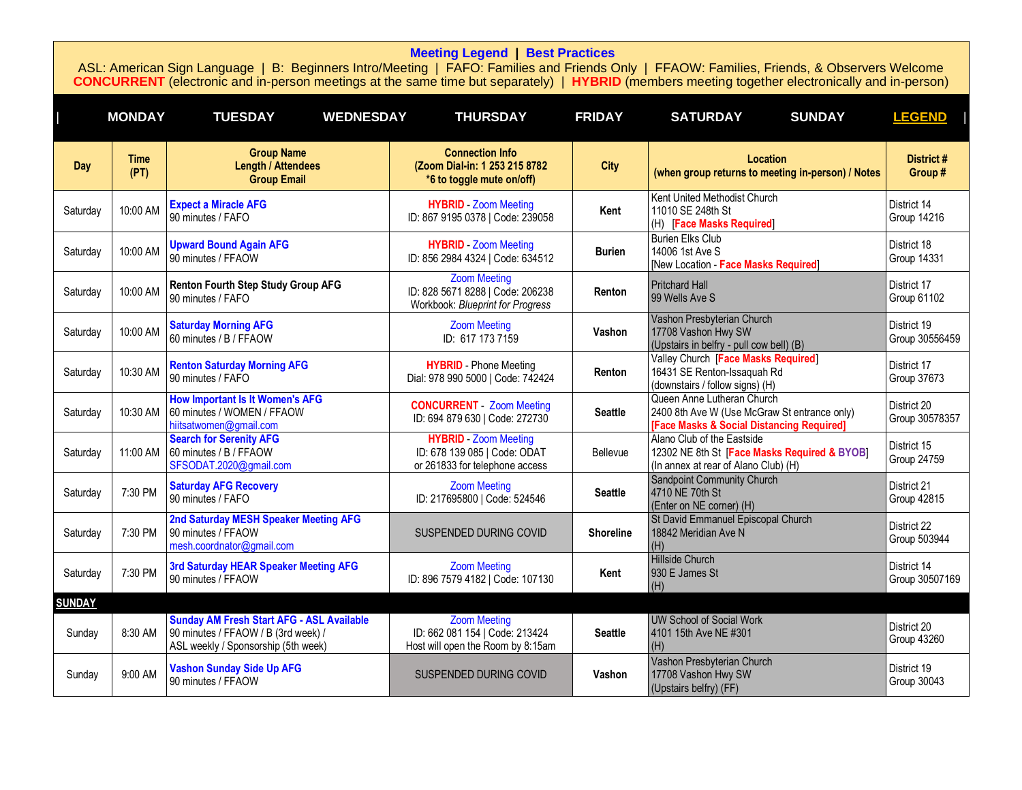<span id="page-7-0"></span>

|               | <b>MONDAY</b>       | <b>TUESDAY</b><br><b>WEDNESDAY</b>                                                                                             | <b>THURSDAY</b>                                                                                | <b>FRIDAY</b>    | <b>SUNDAY</b><br><b>SATURDAY</b>                                                                                        | <b>LEGEND</b>                     |
|---------------|---------------------|--------------------------------------------------------------------------------------------------------------------------------|------------------------------------------------------------------------------------------------|------------------|-------------------------------------------------------------------------------------------------------------------------|-----------------------------------|
| <b>Day</b>    | <b>Time</b><br>(PT) | <b>Group Name</b><br><b>Length / Attendees</b><br><b>Group Email</b>                                                           | <b>Connection Info</b><br>(Zoom Dial-in: 1 253 215 8782<br>*6 to toggle mute on/off)           | <b>City</b>      | Location<br>(when group returns to meeting in-person) / Notes                                                           | District #<br>Group#              |
| Saturday      | 10:00 AM            | <b>Expect a Miracle AFG</b><br>90 minutes / FAFO                                                                               | <b>HYBRID</b> Zoom Meeting<br>ID: 867 9195 0378   Code: 239058                                 | Kent             | Kent United Methodist Church<br>11010 SE 248th St<br>(H) [Face Masks Required]                                          | District 14<br><b>Group 14216</b> |
| Saturday      | 10:00 AM            | <b>Upward Bound Again AFG</b><br>90 minutes / FFAOW                                                                            | <b>HYBRID</b> - Zoom Meeting<br>ID: 856 2984 4324   Code: 634512                               | <b>Burien</b>    | <b>Burien Elks Club</b><br>14006 1st Ave S<br>[New Location - Face Masks Required]                                      | District 18<br>Group 14331        |
| Saturday      | 10:00 AM            | Renton Fourth Step Study Group AFG<br>90 minutes / FAFO                                                                        | <b>Zoom Meeting</b><br>ID: 828 5671 8288   Code: 206238<br>Workbook: Blueprint for Progress    | Renton           | <b>Pritchard Hall</b><br>99 Wells Ave S                                                                                 | District 17<br><b>Group 61102</b> |
| Saturday      | 10:00 AM            | <b>Saturday Morning AFG</b><br>60 minutes / B / FFAOW                                                                          | <b>Zoom Meeting</b><br>ID: 617 173 7159                                                        | Vashon           | Vashon Presbyterian Church<br>17708 Vashon Hwy SW<br>(Upstairs in belfry - pull cow bell) (B)                           | District 19<br>Group 30556459     |
| Saturday      | 10:30 AM            | <b>Renton Saturday Morning AFG</b><br>90 minutes / FAFO                                                                        | <b>HYBRID</b> - Phone Meeting<br>Dial: 978 990 5000   Code: 742424                             | Renton           | Valley Church [Face Masks Required]<br>16431 SE Renton-Issaquah Rd<br>(downstairs / follow signs) (H)                   | District 17<br>Group 37673        |
| Saturday      | 10:30 AM            | <b>How Important Is It Women's AFG</b><br>60 minutes / WOMEN / FFAOW<br>hiitsatwomen@gmail.com                                 | <b>CONCURRENT</b> Zoom Meeting<br>ID: 694 879 630   Code: 272730                               | <b>Seattle</b>   | Queen Anne Lutheran Church<br>2400 8th Ave W (Use McGraw St entrance only)<br>[Face Masks & Social Distancing Required] | District 20<br>Group 30578357     |
| Saturday      | 11:00 AM            | <b>Search for Serenity AFG</b><br>60 minutes / B / FFAOW<br>SFSODAT.2020@gmail.com                                             | <b>HYBRID</b> - Zoom Meeting<br>ID: 678 139 085   Code: ODAT<br>or 261833 for telephone access | Bellevue         | Alano Club of the Eastside<br>12302 NE 8th St [Face Masks Required & BYOB]<br>(In annex at rear of Alano Club) (H)      | District 15<br><b>Group 24759</b> |
| Saturday      | 7:30 PM             | <b>Saturday AFG Recovery</b><br>90 minutes / FAFO                                                                              | <b>Zoom Meeting</b><br>ID: 217695800   Code: 524546                                            | <b>Seattle</b>   | Sandpoint Community Church<br>4710 NE 70th St<br>(Enter on NE corner) (H)                                               | District 21<br>Group 42815        |
| Saturday      | 7:30 PM             | 2nd Saturday MESH Speaker Meeting AFG<br>90 minutes / FFAOW<br>mesh.coordnator@gmail.com                                       | SUSPENDED DURING COVID                                                                         | <b>Shoreline</b> | St David Emmanuel Episcopal Church<br>18842 Meridian Ave N<br>(H)                                                       | District 22<br>Group 503944       |
| Saturday      | 7:30 PM             | 3rd Saturday HEAR Speaker Meeting AFG<br>90 minutes / FFAOW                                                                    | <b>Zoom Meeting</b><br>ID: 896 7579 4182   Code: 107130                                        | Kent             | <b>Hillside Church</b><br>930 E James St<br>(H)                                                                         | District 14<br>Group 30507169     |
| <b>SUNDAY</b> |                     |                                                                                                                                |                                                                                                |                  |                                                                                                                         |                                   |
| Sunday        | 8:30 AM             | <b>Sunday AM Fresh Start AFG - ASL Available</b><br>90 minutes / FFAOW / B (3rd week) /<br>ASL weekly / Sponsorship (5th week) | <b>Zoom Meeting</b><br>ID: 662 081 154   Code: 213424<br>Host will open the Room by 8:15am     | <b>Seattle</b>   | <b>UW School of Social Work</b><br>4101 15th Ave NE #301<br>(H)                                                         | District 20<br><b>Group 43260</b> |
| Sunday        | 9:00 AM             | <b>Vashon Sunday Side Up AFG</b><br>90 minutes / FFAOW                                                                         | SUSPENDED DURING COVID                                                                         | Vashon           | Vashon Presbyterian Church<br>17708 Vashon Hwy SW<br>(Upstairs belfry) (FF)                                             | District 19<br>Group 30043        |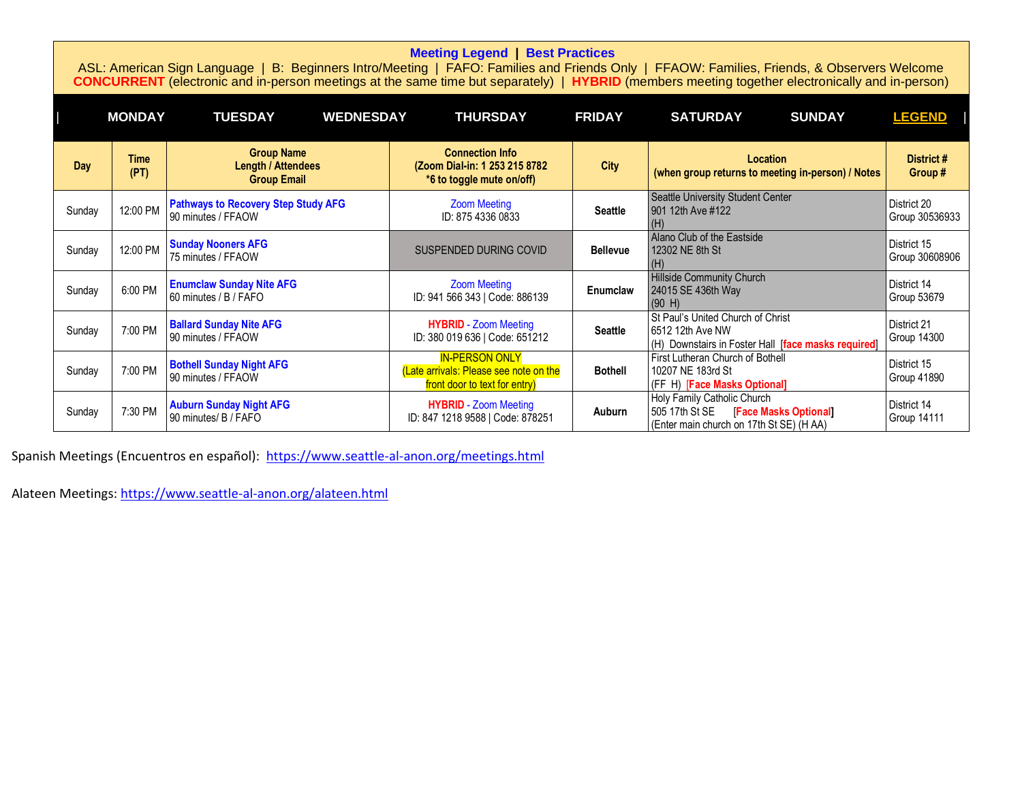|  |  | <b>Meeting Legend   Best Practices</b> |
|--|--|----------------------------------------|
|--|--|----------------------------------------|

ASL: American Sign Language | B: Beginners Intro/Meeting | FAFO: Families and Friends Only | FFAOW: Families, Friends, & Observers Welcome **CONCURRENT** (electronic and in-person meetings at the same time but separately) | **HYBRID** (members meeting together electronically and in-person)

|        | <b>MONDAY</b>       | <b>TUESDAY</b><br><b>WEDNESDAY</b>                                   | <b>THURSDAY</b>                                                                                  | <b>FRIDAY</b>   | <b>SATURDAY</b><br><b>SUNDAY</b>                                                                                        | <b>LEGEND</b>                 |
|--------|---------------------|----------------------------------------------------------------------|--------------------------------------------------------------------------------------------------|-----------------|-------------------------------------------------------------------------------------------------------------------------|-------------------------------|
| Day    | <b>Time</b><br>(PT) | <b>Group Name</b><br><b>Length / Attendees</b><br><b>Group Email</b> | <b>Connection Info</b><br>(Zoom Dial-in: 1 253 215 8782<br>*6 to toggle mute on/off)             | <b>City</b>     | <b>Location</b><br>(when group returns to meeting in-person) / Notes                                                    | District #<br>Group#          |
| Sunday | 12:00 PM            | <b>Pathways to Recovery Step Study AFG</b><br>90 minutes / FFAOW     | <b>Zoom Meeting</b><br>ID: 875 4336 0833                                                         | <b>Seattle</b>  | Seattle University Student Center<br>901 12th Ave #122                                                                  | District 20<br>Group 30536933 |
| Sunday | 12:00 PM            | <b>Sunday Nooners AFG</b><br>75 minutes / FFAOW                      | SUSPENDED DURING COVID                                                                           | <b>Bellevue</b> | Alano Club of the Eastside<br>12302 NE 8th St<br>(H)                                                                    | District 15<br>Group 30608906 |
| Sunday | 6:00 PM             | <b>Enumclaw Sunday Nite AFG</b><br>60 minutes / B / FAFO             | <b>Zoom Meeting</b><br>ID: 941 566 343   Code: 886139                                            | Enumclaw        | <b>Hillside Community Church</b><br>24015 SE 436th Way<br>(90 H)                                                        | District 14<br>Group 53679    |
| Sunday | 7:00 PM             | <b>Ballard Sunday Nite AFG</b><br>90 minutes / FFAOW                 | <b>HYBRID</b> - Zoom Meeting<br>ID: 380 019 636   Code: 651212                                   | <b>Seattle</b>  | St Paul's United Church of Christ<br>16512 12th Ave NW<br>(H) Downstairs in Foster Hall [face masks required]           | District 21<br>Group 14300    |
| Sunday | 7:00 PM             | <b>Bothell Sunday Night AFG</b><br>90 minutes / FFAOW                | <b>IN-PERSON ONLY</b><br>(Late arrivals: Please see note on the<br>front door to text for entry) | <b>Bothell</b>  | First Lutheran Church of Bothell<br>10207 NE 183rd St<br>(FF H) [Face Masks Optional]                                   | District 15<br>Group 41890    |
| Sunday | 7:30 PM             | <b>Auburn Sunday Night AFG</b><br>90 minutes/ B / FAFO               | <b>HYBRID</b> - Zoom Meeting<br>ID: 847 1218 9588   Code: 878251                                 | Auburn          | Holy Family Catholic Church<br>505 17th St SE<br><b>Face Masks Optional</b><br>(Enter main church on 17th St SE) (H AA) | District 14<br>Group 14111    |

Spanish Meetings (Encuentros en español): <https://www.seattle-al-anon.org/meetings.html>

Alateen Meetings:<https://www.seattle-al-anon.org/alateen.html>